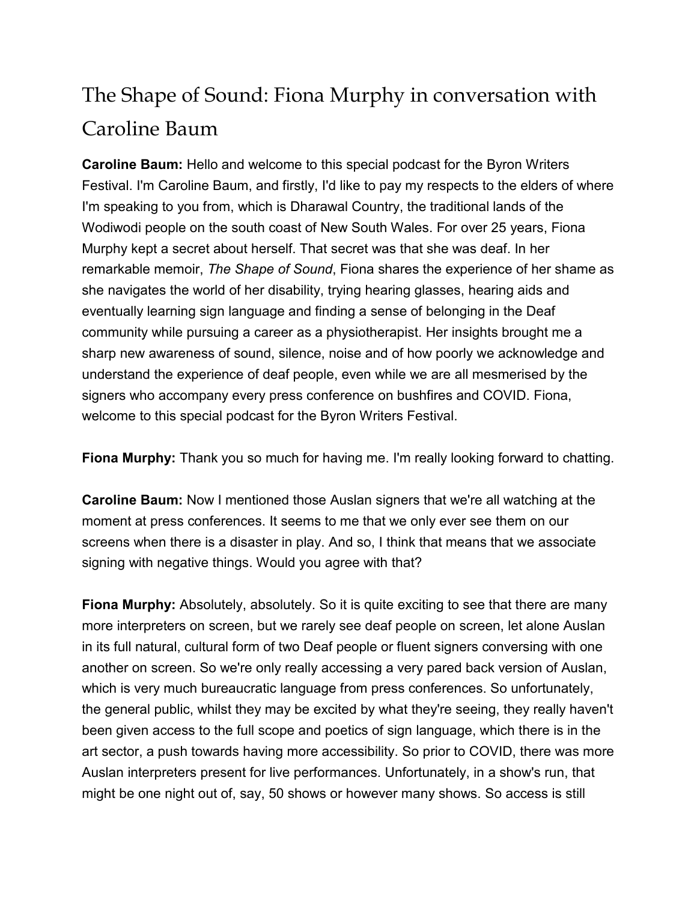## The Shape of Sound: Fiona Murphy in conversation with Caroline Baum

**Caroline Baum:** Hello and welcome to this special podcast for the Byron Writers Festival. I'm Caroline Baum, and firstly, I'd like to pay my respects to the elders of where I'm speaking to you from, which is Dharawal Country, the traditional lands of the Wodiwodi people on the south coast of New South Wales. For over 25 years, Fiona Murphy kept a secret about herself. That secret was that she was deaf. In her remarkable memoir, *The Shape of Sound*, Fiona shares the experience of her shame as she navigates the world of her disability, trying hearing glasses, hearing aids and eventually learning sign language and finding a sense of belonging in the Deaf community while pursuing a career as a physiotherapist. Her insights brought me a sharp new awareness of sound, silence, noise and of how poorly we acknowledge and understand the experience of deaf people, even while we are all mesmerised by the signers who accompany every press conference on bushfires and COVID. Fiona, welcome to this special podcast for the Byron Writers Festival.

**Fiona Murphy:** Thank you so much for having me. I'm really looking forward to chatting.

**Caroline Baum:** Now I mentioned those Auslan signers that we're all watching at the moment at press conferences. It seems to me that we only ever see them on our screens when there is a disaster in play. And so, I think that means that we associate signing with negative things. Would you agree with that?

**Fiona Murphy:** Absolutely, absolutely. So it is quite exciting to see that there are many more interpreters on screen, but we rarely see deaf people on screen, let alone Auslan in its full natural, cultural form of two Deaf people or fluent signers conversing with one another on screen. So we're only really accessing a very pared back version of Auslan, which is very much bureaucratic language from press conferences. So unfortunately, the general public, whilst they may be excited by what they're seeing, they really haven't been given access to the full scope and poetics of sign language, which there is in the art sector, a push towards having more accessibility. So prior to COVID, there was more Auslan interpreters present for live performances. Unfortunately, in a show's run, that might be one night out of, say, 50 shows or however many shows. So access is still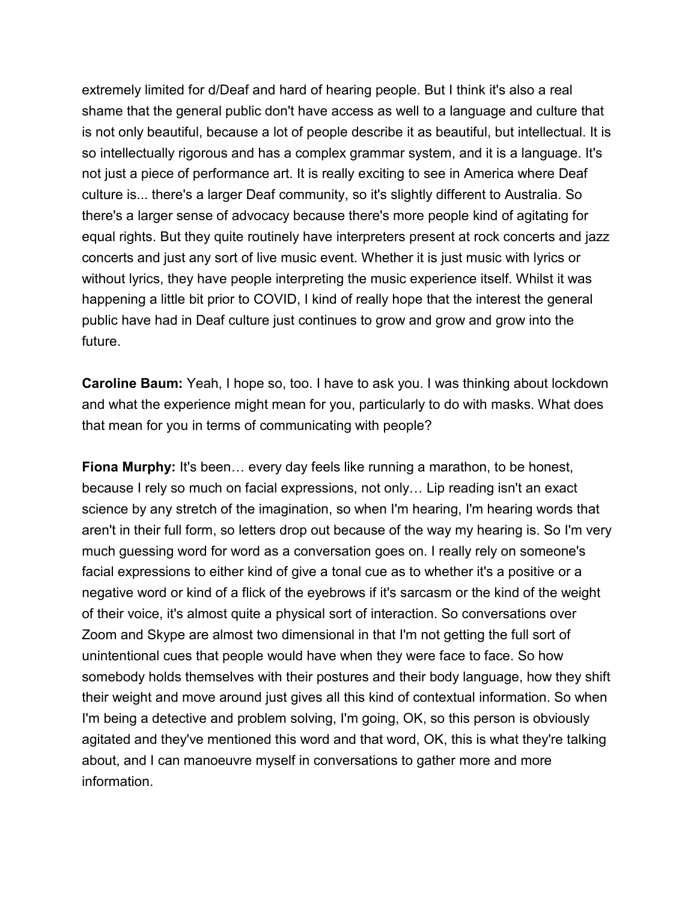extremely limited for d/Deaf and hard of hearing people. But I think it's also a real shame that the general public don't have access as well to a language and culture that is not only beautiful, because a lot of people describe it as beautiful, but intellectual. It is so intellectually rigorous and has a complex grammar system, and it is a language. It's not just a piece of performance art. It is really exciting to see in America where Deaf culture is... there's a larger Deaf community, so it's slightly different to Australia. So there's a larger sense of advocacy because there's more people kind of agitating for equal rights. But they quite routinely have interpreters present at rock concerts and jazz concerts and just any sort of live music event. Whether it is just music with lyrics or without lyrics, they have people interpreting the music experience itself. Whilst it was happening a little bit prior to COVID, I kind of really hope that the interest the general public have had in Deaf culture just continues to grow and grow and grow into the future.

**Caroline Baum:** Yeah, I hope so, too. I have to ask you. I was thinking about lockdown and what the experience might mean for you, particularly to do with masks. What does that mean for you in terms of communicating with people?

**Fiona Murphy:** It's been... every day feels like running a marathon, to be honest, because I rely so much on facial expressions, not only… Lip reading isn't an exact science by any stretch of the imagination, so when I'm hearing, I'm hearing words that aren't in their full form, so letters drop out because of the way my hearing is. So I'm very much guessing word for word as a conversation goes on. I really rely on someone's facial expressions to either kind of give a tonal cue as to whether it's a positive or a negative word or kind of a flick of the eyebrows if it's sarcasm or the kind of the weight of their voice, it's almost quite a physical sort of interaction. So conversations over Zoom and Skype are almost two dimensional in that I'm not getting the full sort of unintentional cues that people would have when they were face to face. So how somebody holds themselves with their postures and their body language, how they shift their weight and move around just gives all this kind of contextual information. So when I'm being a detective and problem solving, I'm going, OK, so this person is obviously agitated and they've mentioned this word and that word, OK, this is what they're talking about, and I can manoeuvre myself in conversations to gather more and more information.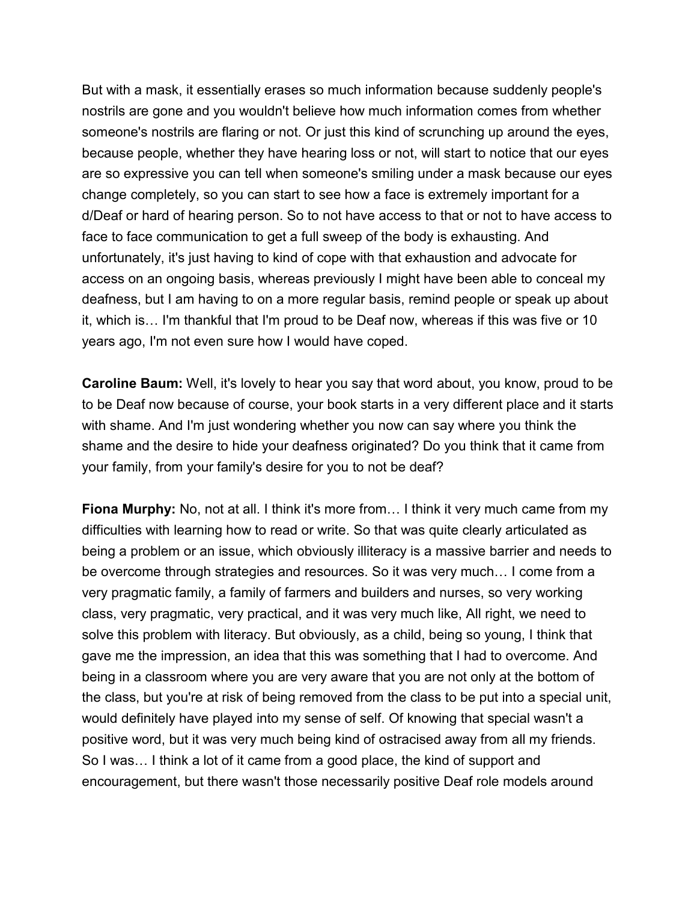But with a mask, it essentially erases so much information because suddenly people's nostrils are gone and you wouldn't believe how much information comes from whether someone's nostrils are flaring or not. Or just this kind of scrunching up around the eyes, because people, whether they have hearing loss or not, will start to notice that our eyes are so expressive you can tell when someone's smiling under a mask because our eyes change completely, so you can start to see how a face is extremely important for a d/Deaf or hard of hearing person. So to not have access to that or not to have access to face to face communication to get a full sweep of the body is exhausting. And unfortunately, it's just having to kind of cope with that exhaustion and advocate for access on an ongoing basis, whereas previously I might have been able to conceal my deafness, but I am having to on a more regular basis, remind people or speak up about it, which is… I'm thankful that I'm proud to be Deaf now, whereas if this was five or 10 years ago, I'm not even sure how I would have coped.

**Caroline Baum:** Well, it's lovely to hear you say that word about, you know, proud to be to be Deaf now because of course, your book starts in a very different place and it starts with shame. And I'm just wondering whether you now can say where you think the shame and the desire to hide your deafness originated? Do you think that it came from your family, from your family's desire for you to not be deaf?

**Fiona Murphy:** No, not at all. I think it's more from... I think it very much came from my difficulties with learning how to read or write. So that was quite clearly articulated as being a problem or an issue, which obviously illiteracy is a massive barrier and needs to be overcome through strategies and resources. So it was very much… I come from a very pragmatic family, a family of farmers and builders and nurses, so very working class, very pragmatic, very practical, and it was very much like, All right, we need to solve this problem with literacy. But obviously, as a child, being so young, I think that gave me the impression, an idea that this was something that I had to overcome. And being in a classroom where you are very aware that you are not only at the bottom of the class, but you're at risk of being removed from the class to be put into a special unit, would definitely have played into my sense of self. Of knowing that special wasn't a positive word, but it was very much being kind of ostracised away from all my friends. So I was… I think a lot of it came from a good place, the kind of support and encouragement, but there wasn't those necessarily positive Deaf role models around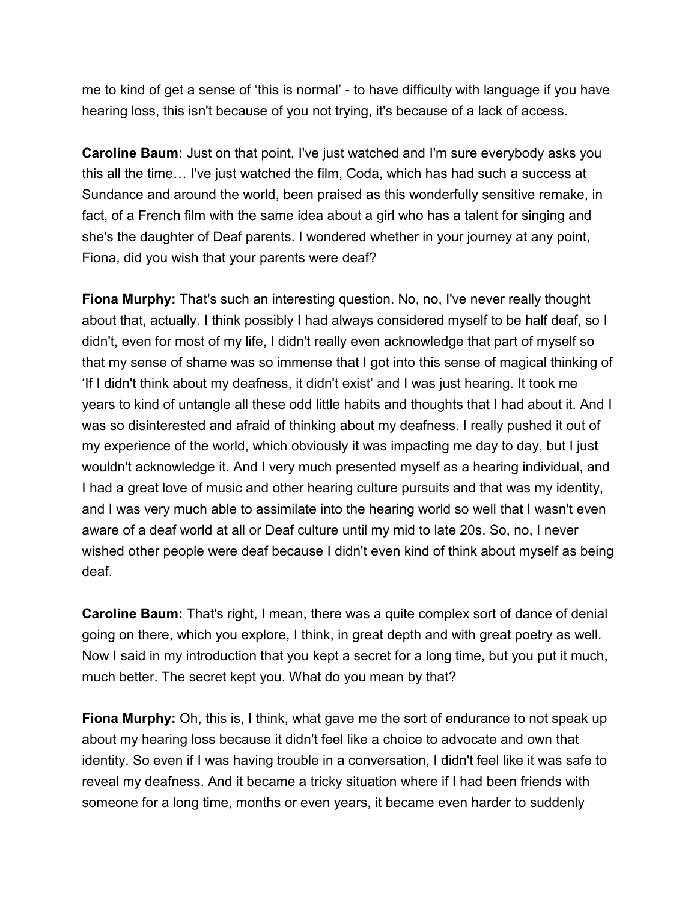me to kind of get a sense of 'this is normal' - to have difficulty with language if you have hearing loss, this isn't because of you not trying, it's because of a lack of access.

**Caroline Baum:** Just on that point, I've just watched and I'm sure everybody asks you this all the time… I've just watched the film, Coda, which has had such a success at Sundance and around the world, been praised as this wonderfully sensitive remake, in fact, of a French film with the same idea about a girl who has a talent for singing and she's the daughter of Deaf parents. I wondered whether in your journey at any point, Fiona, did you wish that your parents were deaf?

**Fiona Murphy:** That's such an interesting question. No, no, I've never really thought about that, actually. I think possibly I had always considered myself to be half deaf, so I didn't, even for most of my life, I didn't really even acknowledge that part of myself so that my sense of shame was so immense that I got into this sense of magical thinking of 'If I didn't think about my deafness, it didn't exist' and I was just hearing. It took me years to kind of untangle all these odd little habits and thoughts that I had about it. And I was so disinterested and afraid of thinking about my deafness. I really pushed it out of my experience of the world, which obviously it was impacting me day to day, but I just wouldn't acknowledge it. And I very much presented myself as a hearing individual, and I had a great love of music and other hearing culture pursuits and that was my identity, and I was very much able to assimilate into the hearing world so well that I wasn't even aware of a deaf world at all or Deaf culture until my mid to late 20s. So, no, I never wished other people were deaf because I didn't even kind of think about myself as being deaf.

**Caroline Baum:** That's right, I mean, there was a quite complex sort of dance of denial going on there, which you explore, I think, in great depth and with great poetry as well. Now I said in my introduction that you kept a secret for a long time, but you put it much, much better. The secret kept you. What do you mean by that?

**Fiona Murphy:** Oh, this is, I think, what gave me the sort of endurance to not speak up about my hearing loss because it didn't feel like a choice to advocate and own that identity. So even if I was having trouble in a conversation, I didn't feel like it was safe to reveal my deafness. And it became a tricky situation where if I had been friends with someone for a long time, months or even years, it became even harder to suddenly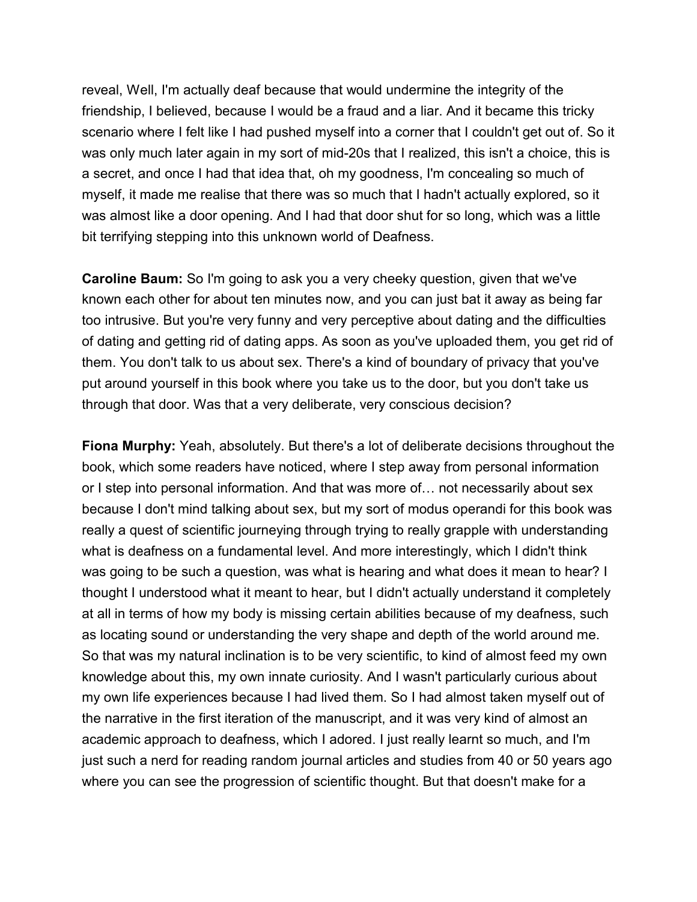reveal, Well, I'm actually deaf because that would undermine the integrity of the friendship, I believed, because I would be a fraud and a liar. And it became this tricky scenario where I felt like I had pushed myself into a corner that I couldn't get out of. So it was only much later again in my sort of mid-20s that I realized, this isn't a choice, this is a secret, and once I had that idea that, oh my goodness, I'm concealing so much of myself, it made me realise that there was so much that I hadn't actually explored, so it was almost like a door opening. And I had that door shut for so long, which was a little bit terrifying stepping into this unknown world of Deafness.

**Caroline Baum:** So I'm going to ask you a very cheeky question, given that we've known each other for about ten minutes now, and you can just bat it away as being far too intrusive. But you're very funny and very perceptive about dating and the difficulties of dating and getting rid of dating apps. As soon as you've uploaded them, you get rid of them. You don't talk to us about sex. There's a kind of boundary of privacy that you've put around yourself in this book where you take us to the door, but you don't take us through that door. Was that a very deliberate, very conscious decision?

**Fiona Murphy:** Yeah, absolutely. But there's a lot of deliberate decisions throughout the book, which some readers have noticed, where I step away from personal information or I step into personal information. And that was more of… not necessarily about sex because I don't mind talking about sex, but my sort of modus operandi for this book was really a quest of scientific journeying through trying to really grapple with understanding what is deafness on a fundamental level. And more interestingly, which I didn't think was going to be such a question, was what is hearing and what does it mean to hear? I thought I understood what it meant to hear, but I didn't actually understand it completely at all in terms of how my body is missing certain abilities because of my deafness, such as locating sound or understanding the very shape and depth of the world around me. So that was my natural inclination is to be very scientific, to kind of almost feed my own knowledge about this, my own innate curiosity. And I wasn't particularly curious about my own life experiences because I had lived them. So I had almost taken myself out of the narrative in the first iteration of the manuscript, and it was very kind of almost an academic approach to deafness, which I adored. I just really learnt so much, and I'm just such a nerd for reading random journal articles and studies from 40 or 50 years ago where you can see the progression of scientific thought. But that doesn't make for a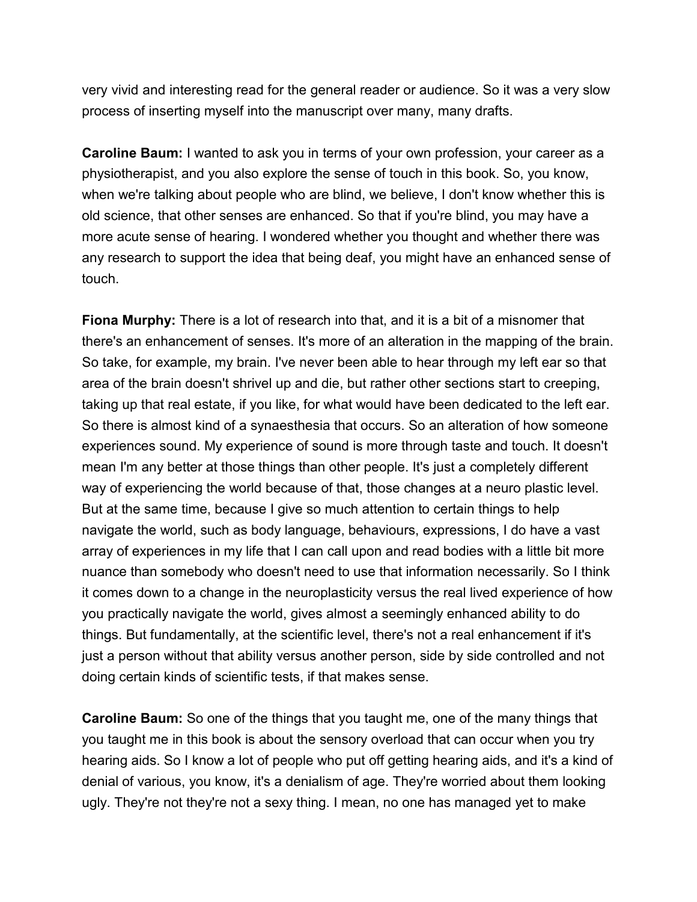very vivid and interesting read for the general reader or audience. So it was a very slow process of inserting myself into the manuscript over many, many drafts.

**Caroline Baum:** I wanted to ask you in terms of your own profession, your career as a physiotherapist, and you also explore the sense of touch in this book. So, you know, when we're talking about people who are blind, we believe, I don't know whether this is old science, that other senses are enhanced. So that if you're blind, you may have a more acute sense of hearing. I wondered whether you thought and whether there was any research to support the idea that being deaf, you might have an enhanced sense of touch.

**Fiona Murphy:** There is a lot of research into that, and it is a bit of a misnomer that there's an enhancement of senses. It's more of an alteration in the mapping of the brain. So take, for example, my brain. I've never been able to hear through my left ear so that area of the brain doesn't shrivel up and die, but rather other sections start to creeping, taking up that real estate, if you like, for what would have been dedicated to the left ear. So there is almost kind of a synaesthesia that occurs. So an alteration of how someone experiences sound. My experience of sound is more through taste and touch. It doesn't mean I'm any better at those things than other people. It's just a completely different way of experiencing the world because of that, those changes at a neuro plastic level. But at the same time, because I give so much attention to certain things to help navigate the world, such as body language, behaviours, expressions, I do have a vast array of experiences in my life that I can call upon and read bodies with a little bit more nuance than somebody who doesn't need to use that information necessarily. So I think it comes down to a change in the neuroplasticity versus the real lived experience of how you practically navigate the world, gives almost a seemingly enhanced ability to do things. But fundamentally, at the scientific level, there's not a real enhancement if it's just a person without that ability versus another person, side by side controlled and not doing certain kinds of scientific tests, if that makes sense.

**Caroline Baum:** So one of the things that you taught me, one of the many things that you taught me in this book is about the sensory overload that can occur when you try hearing aids. So I know a lot of people who put off getting hearing aids, and it's a kind of denial of various, you know, it's a denialism of age. They're worried about them looking ugly. They're not they're not a sexy thing. I mean, no one has managed yet to make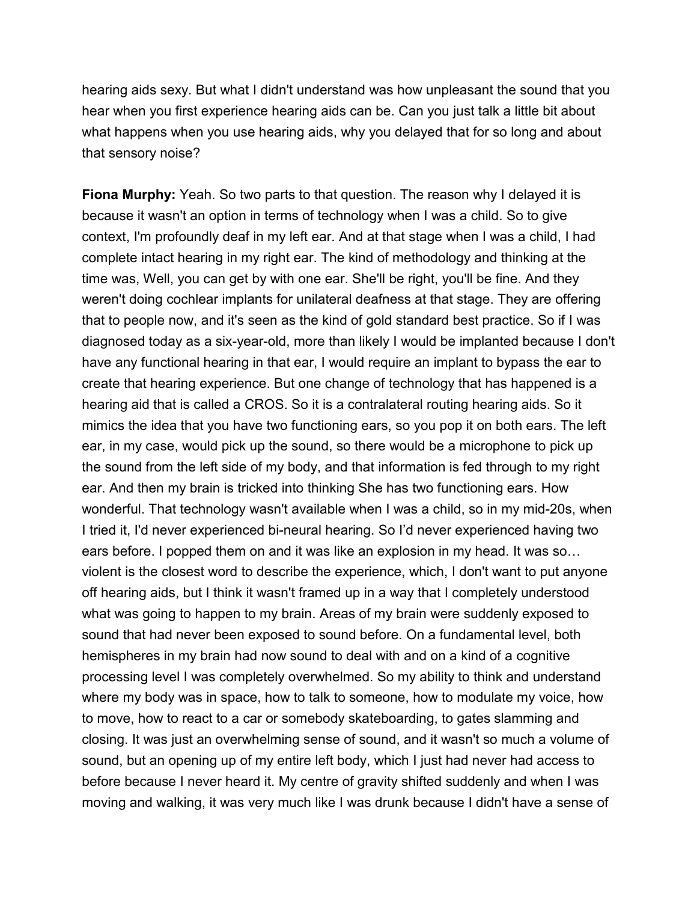hearing aids sexy. But what I didn't understand was how unpleasant the sound that you hear when you first experience hearing aids can be. Can you just talk a little bit about what happens when you use hearing aids, why you delayed that for so long and about that sensory noise?

**Fiona Murphy:** Yeah. So two parts to that question. The reason why I delayed it is because it wasn't an option in terms of technology when I was a child. So to give context, I'm profoundly deaf in my left ear. And at that stage when I was a child, I had complete intact hearing in my right ear. The kind of methodology and thinking at the time was, Well, you can get by with one ear. She'll be right, you'll be fine. And they weren't doing cochlear implants for unilateral deafness at that stage. They are offering that to people now, and it's seen as the kind of gold standard best practice. So if I was diagnosed today as a six-year-old, more than likely I would be implanted because I don't have any functional hearing in that ear, I would require an implant to bypass the ear to create that hearing experience. But one change of technology that has happened is a hearing aid that is called a CROS. So it is a contralateral routing hearing aids. So it mimics the idea that you have two functioning ears, so you pop it on both ears. The left ear, in my case, would pick up the sound, so there would be a microphone to pick up the sound from the left side of my body, and that information is fed through to my right ear. And then my brain is tricked into thinking She has two functioning ears. How wonderful. That technology wasn't available when I was a child, so in my mid-20s, when I tried it, I'd never experienced bi-neural hearing. So I'd never experienced having two ears before. I popped them on and it was like an explosion in my head. It was so… violent is the closest word to describe the experience, which, I don't want to put anyone off hearing aids, but I think it wasn't framed up in a way that I completely understood what was going to happen to my brain. Areas of my brain were suddenly exposed to sound that had never been exposed to sound before. On a fundamental level, both hemispheres in my brain had now sound to deal with and on a kind of a cognitive processing level I was completely overwhelmed. So my ability to think and understand where my body was in space, how to talk to someone, how to modulate my voice, how to move, how to react to a car or somebody skateboarding, to gates slamming and closing. It was just an overwhelming sense of sound, and it wasn't so much a volume of sound, but an opening up of my entire left body, which I just had never had access to before because I never heard it. My centre of gravity shifted suddenly and when I was moving and walking, it was very much like I was drunk because I didn't have a sense of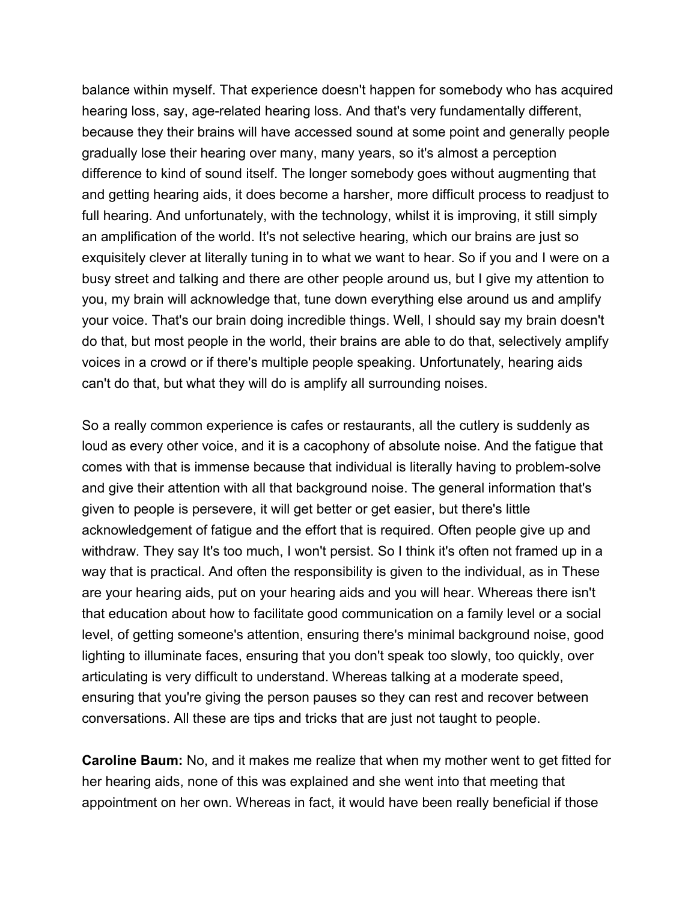balance within myself. That experience doesn't happen for somebody who has acquired hearing loss, say, age-related hearing loss. And that's very fundamentally different, because they their brains will have accessed sound at some point and generally people gradually lose their hearing over many, many years, so it's almost a perception difference to kind of sound itself. The longer somebody goes without augmenting that and getting hearing aids, it does become a harsher, more difficult process to readjust to full hearing. And unfortunately, with the technology, whilst it is improving, it still simply an amplification of the world. It's not selective hearing, which our brains are just so exquisitely clever at literally tuning in to what we want to hear. So if you and I were on a busy street and talking and there are other people around us, but I give my attention to you, my brain will acknowledge that, tune down everything else around us and amplify your voice. That's our brain doing incredible things. Well, I should say my brain doesn't do that, but most people in the world, their brains are able to do that, selectively amplify voices in a crowd or if there's multiple people speaking. Unfortunately, hearing aids can't do that, but what they will do is amplify all surrounding noises.

So a really common experience is cafes or restaurants, all the cutlery is suddenly as loud as every other voice, and it is a cacophony of absolute noise. And the fatigue that comes with that is immense because that individual is literally having to problem-solve and give their attention with all that background noise. The general information that's given to people is persevere, it will get better or get easier, but there's little acknowledgement of fatigue and the effort that is required. Often people give up and withdraw. They say It's too much, I won't persist. So I think it's often not framed up in a way that is practical. And often the responsibility is given to the individual, as in These are your hearing aids, put on your hearing aids and you will hear. Whereas there isn't that education about how to facilitate good communication on a family level or a social level, of getting someone's attention, ensuring there's minimal background noise, good lighting to illuminate faces, ensuring that you don't speak too slowly, too quickly, over articulating is very difficult to understand. Whereas talking at a moderate speed, ensuring that you're giving the person pauses so they can rest and recover between conversations. All these are tips and tricks that are just not taught to people.

**Caroline Baum:** No, and it makes me realize that when my mother went to get fitted for her hearing aids, none of this was explained and she went into that meeting that appointment on her own. Whereas in fact, it would have been really beneficial if those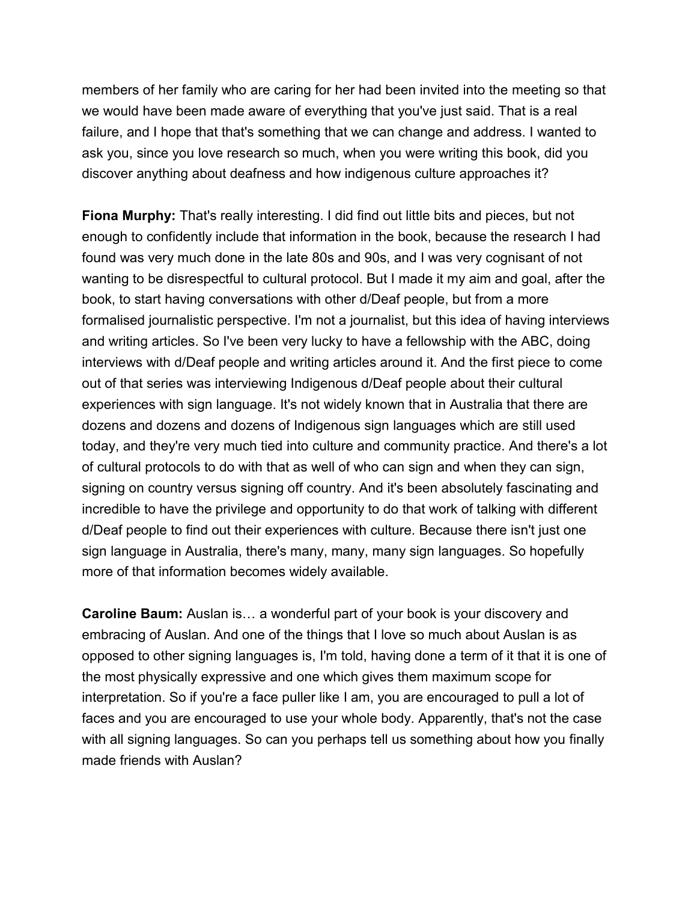members of her family who are caring for her had been invited into the meeting so that we would have been made aware of everything that you've just said. That is a real failure, and I hope that that's something that we can change and address. I wanted to ask you, since you love research so much, when you were writing this book, did you discover anything about deafness and how indigenous culture approaches it?

**Fiona Murphy:** That's really interesting. I did find out little bits and pieces, but not enough to confidently include that information in the book, because the research I had found was very much done in the late 80s and 90s, and I was very cognisant of not wanting to be disrespectful to cultural protocol. But I made it my aim and goal, after the book, to start having conversations with other d/Deaf people, but from a more formalised journalistic perspective. I'm not a journalist, but this idea of having interviews and writing articles. So I've been very lucky to have a fellowship with the ABC, doing interviews with d/Deaf people and writing articles around it. And the first piece to come out of that series was interviewing Indigenous d/Deaf people about their cultural experiences with sign language. It's not widely known that in Australia that there are dozens and dozens and dozens of Indigenous sign languages which are still used today, and they're very much tied into culture and community practice. And there's a lot of cultural protocols to do with that as well of who can sign and when they can sign, signing on country versus signing off country. And it's been absolutely fascinating and incredible to have the privilege and opportunity to do that work of talking with different d/Deaf people to find out their experiences with culture. Because there isn't just one sign language in Australia, there's many, many, many sign languages. So hopefully more of that information becomes widely available.

**Caroline Baum:** Auslan is… a wonderful part of your book is your discovery and embracing of Auslan. And one of the things that I love so much about Auslan is as opposed to other signing languages is, I'm told, having done a term of it that it is one of the most physically expressive and one which gives them maximum scope for interpretation. So if you're a face puller like I am, you are encouraged to pull a lot of faces and you are encouraged to use your whole body. Apparently, that's not the case with all signing languages. So can you perhaps tell us something about how you finally made friends with Auslan?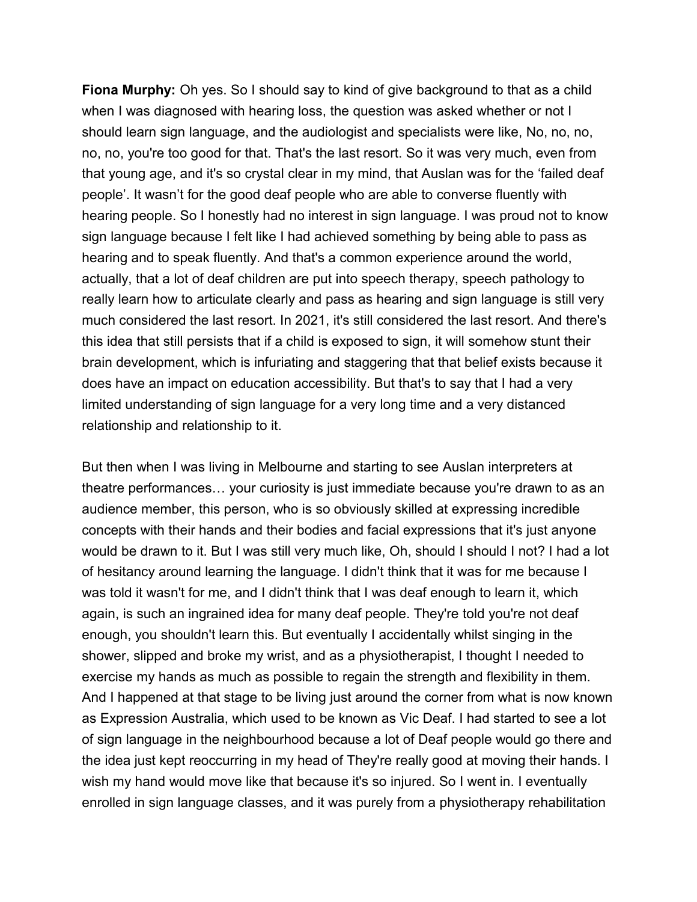**Fiona Murphy:** Oh yes. So I should say to kind of give background to that as a child when I was diagnosed with hearing loss, the question was asked whether or not I should learn sign language, and the audiologist and specialists were like, No, no, no, no, no, you're too good for that. That's the last resort. So it was very much, even from that young age, and it's so crystal clear in my mind, that Auslan was for the 'failed deaf people'. It wasn't for the good deaf people who are able to converse fluently with hearing people. So I honestly had no interest in sign language. I was proud not to know sign language because I felt like I had achieved something by being able to pass as hearing and to speak fluently. And that's a common experience around the world, actually, that a lot of deaf children are put into speech therapy, speech pathology to really learn how to articulate clearly and pass as hearing and sign language is still very much considered the last resort. In 2021, it's still considered the last resort. And there's this idea that still persists that if a child is exposed to sign, it will somehow stunt their brain development, which is infuriating and staggering that that belief exists because it does have an impact on education accessibility. But that's to say that I had a very limited understanding of sign language for a very long time and a very distanced relationship and relationship to it.

But then when I was living in Melbourne and starting to see Auslan interpreters at theatre performances… your curiosity is just immediate because you're drawn to as an audience member, this person, who is so obviously skilled at expressing incredible concepts with their hands and their bodies and facial expressions that it's just anyone would be drawn to it. But I was still very much like, Oh, should I should I not? I had a lot of hesitancy around learning the language. I didn't think that it was for me because I was told it wasn't for me, and I didn't think that I was deaf enough to learn it, which again, is such an ingrained idea for many deaf people. They're told you're not deaf enough, you shouldn't learn this. But eventually I accidentally whilst singing in the shower, slipped and broke my wrist, and as a physiotherapist, I thought I needed to exercise my hands as much as possible to regain the strength and flexibility in them. And I happened at that stage to be living just around the corner from what is now known as Expression Australia, which used to be known as Vic Deaf. I had started to see a lot of sign language in the neighbourhood because a lot of Deaf people would go there and the idea just kept reoccurring in my head of They're really good at moving their hands. I wish my hand would move like that because it's so injured. So I went in. I eventually enrolled in sign language classes, and it was purely from a physiotherapy rehabilitation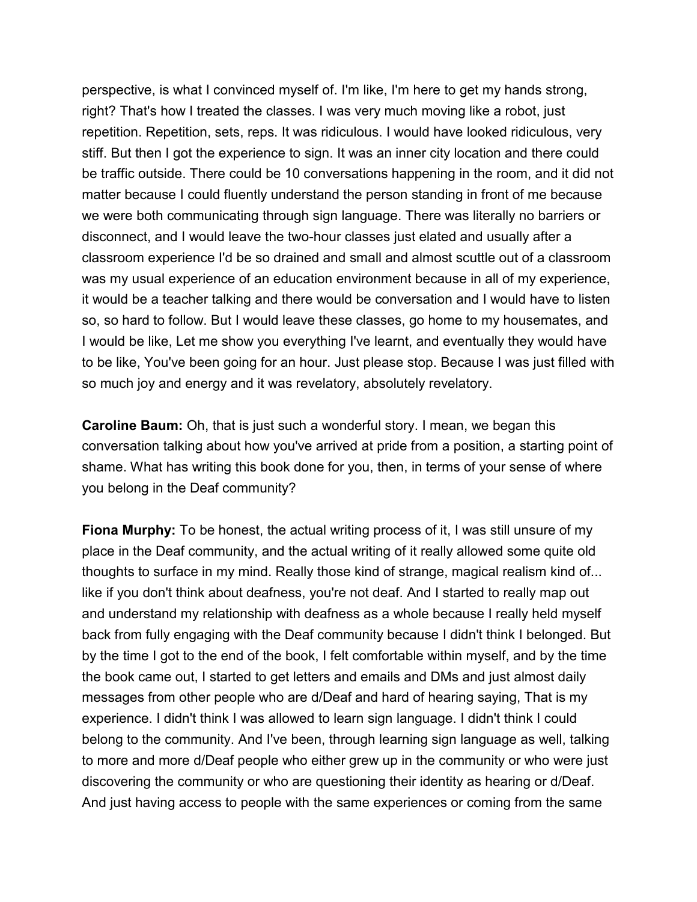perspective, is what I convinced myself of. I'm like, I'm here to get my hands strong, right? That's how I treated the classes. I was very much moving like a robot, just repetition. Repetition, sets, reps. It was ridiculous. I would have looked ridiculous, very stiff. But then I got the experience to sign. It was an inner city location and there could be traffic outside. There could be 10 conversations happening in the room, and it did not matter because I could fluently understand the person standing in front of me because we were both communicating through sign language. There was literally no barriers or disconnect, and I would leave the two-hour classes just elated and usually after a classroom experience I'd be so drained and small and almost scuttle out of a classroom was my usual experience of an education environment because in all of my experience, it would be a teacher talking and there would be conversation and I would have to listen so, so hard to follow. But I would leave these classes, go home to my housemates, and I would be like, Let me show you everything I've learnt, and eventually they would have to be like, You've been going for an hour. Just please stop. Because I was just filled with so much joy and energy and it was revelatory, absolutely revelatory.

**Caroline Baum:** Oh, that is just such a wonderful story. I mean, we began this conversation talking about how you've arrived at pride from a position, a starting point of shame. What has writing this book done for you, then, in terms of your sense of where you belong in the Deaf community?

**Fiona Murphy:** To be honest, the actual writing process of it, I was still unsure of my place in the Deaf community, and the actual writing of it really allowed some quite old thoughts to surface in my mind. Really those kind of strange, magical realism kind of... like if you don't think about deafness, you're not deaf. And I started to really map out and understand my relationship with deafness as a whole because I really held myself back from fully engaging with the Deaf community because I didn't think I belonged. But by the time I got to the end of the book, I felt comfortable within myself, and by the time the book came out, I started to get letters and emails and DMs and just almost daily messages from other people who are d/Deaf and hard of hearing saying, That is my experience. I didn't think I was allowed to learn sign language. I didn't think I could belong to the community. And I've been, through learning sign language as well, talking to more and more d/Deaf people who either grew up in the community or who were just discovering the community or who are questioning their identity as hearing or d/Deaf. And just having access to people with the same experiences or coming from the same